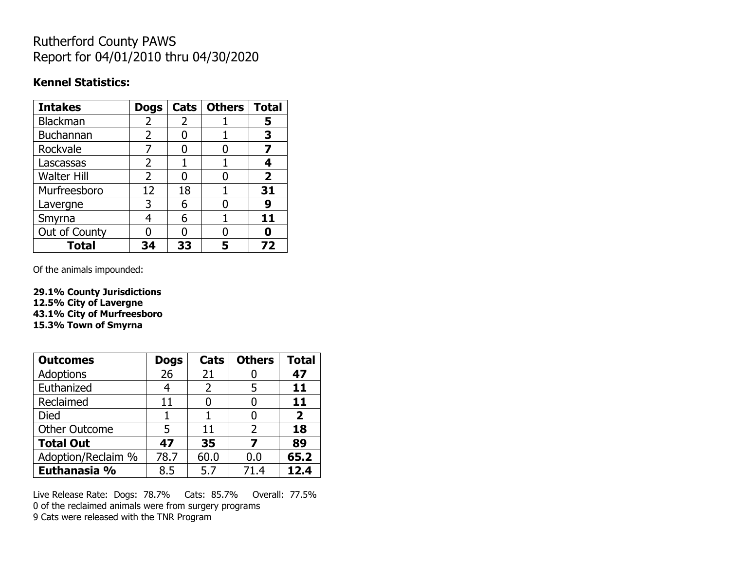## Rutherford County PAWS Report for 04/01/2010 thru 04/30/2020

### **Kennel Statistics:**

| <b>Intakes</b>     | <b>Dogs</b>    | Cats | <b>Others</b> | <b>Total</b>   |
|--------------------|----------------|------|---------------|----------------|
| Blackman           | 2              | 2    |               | 5              |
| Buchannan          | $\overline{2}$ |      |               | 3              |
| Rockvale           |                |      |               |                |
| Lascassas          | 2              |      |               |                |
| <b>Walter Hill</b> | $\overline{2}$ |      |               | $\overline{2}$ |
| Murfreesboro       | 12             | 18   |               | 31             |
| Lavergne           | 3              | 6    |               | 9              |
| Smyrna             | 4              | 6    |               | 11             |
| Out of County      |                |      |               |                |
| <b>Total</b>       | 34             | 33   |               | 72             |

Of the animals impounded:

**29.1% County Jurisdictions 12.5% City of Lavergne 43.1% City of Murfreesboro 15.3% Town of Smyrna**

| <b>Outcomes</b>      | <b>Dogs</b> | Cats | <b>Others</b> | Total |
|----------------------|-------------|------|---------------|-------|
| Adoptions            | 26          | 21   |               | 47    |
| Euthanized           | 4           | 2    | 5             | 11    |
| Reclaimed            | 11          |      |               | 11    |
| <b>Died</b>          |             |      |               | 2     |
| <b>Other Outcome</b> | 5           | 11   | 2             | 18    |
| <b>Total Out</b>     | 47          | 35   |               | 89    |
| Adoption/Reclaim %   | 78.7        | 60.0 | 0.0           | 65.2  |
| Euthanasia %         | 8.5         | 5.7  | 71.4          | 12.4  |

Live Release Rate: Dogs: 78.7% Cats: 85.7% Overall: 77.5% 0 of the reclaimed animals were from surgery programs 9 Cats were released with the TNR Program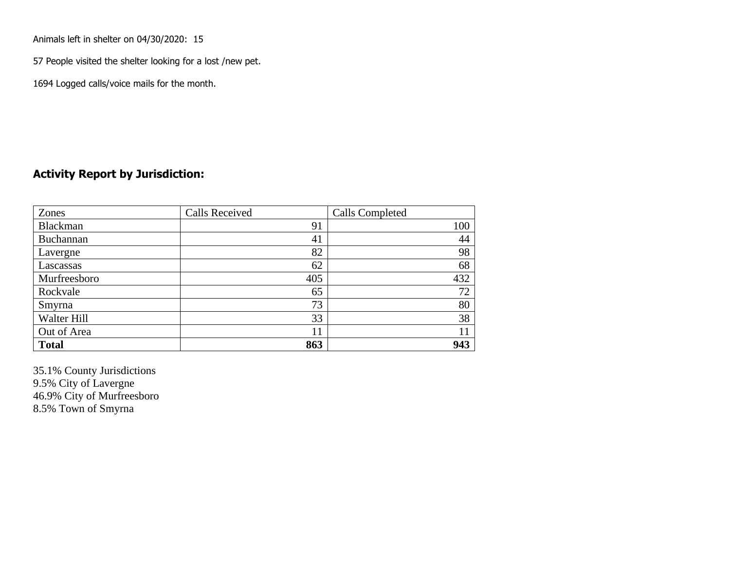Animals left in shelter on 04/30/2020: 15

57 People visited the shelter looking for a lost /new pet.

1694 Logged calls/voice mails for the month.

### **Activity Report by Jurisdiction:**

| Zones        | <b>Calls Received</b> | Calls Completed |
|--------------|-----------------------|-----------------|
| Blackman     | 91                    | 100             |
| Buchannan    | 41                    | 44              |
| Lavergne     | 82                    | 98              |
| Lascassas    | 62                    | 68              |
| Murfreesboro | 405                   | 432             |
| Rockvale     | 65                    | 72              |
| Smyrna       | 73                    | 80              |
| Walter Hill  | 33                    | 38              |
| Out of Area  | 11                    | 11              |
| <b>Total</b> | 863                   | 943             |

35.1% County Jurisdictions 9.5% City of Lavergne 46.9% City of Murfreesboro 8.5% Town of Smyrna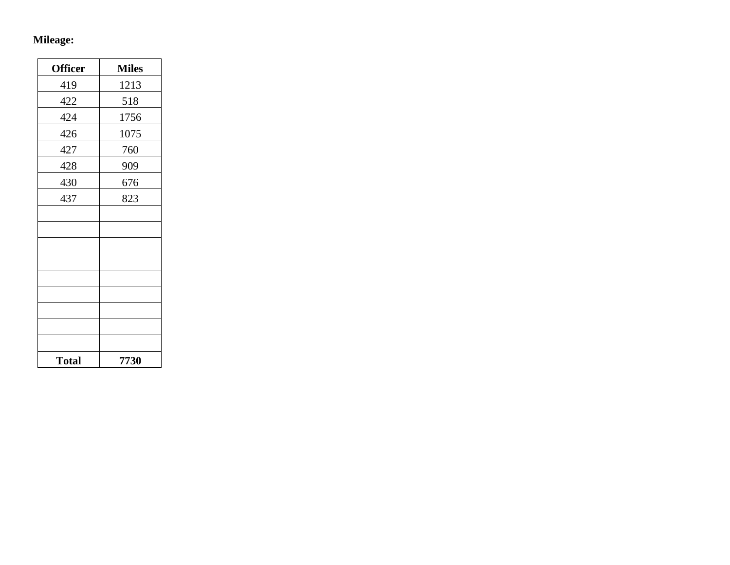## **Mileage:**

| <b>Officer</b> | <b>Miles</b> |
|----------------|--------------|
| 419            | 1213         |
| 422            | 518          |
| 424            | 1756         |
| 426            | 1075         |
| 427            | 760          |
| 428            | 909          |
| 430            | 676          |
| 437            | 823          |
|                |              |
|                |              |
|                |              |
|                |              |
|                |              |
|                |              |
|                |              |
|                |              |
|                |              |
| <b>Total</b>   | 7730         |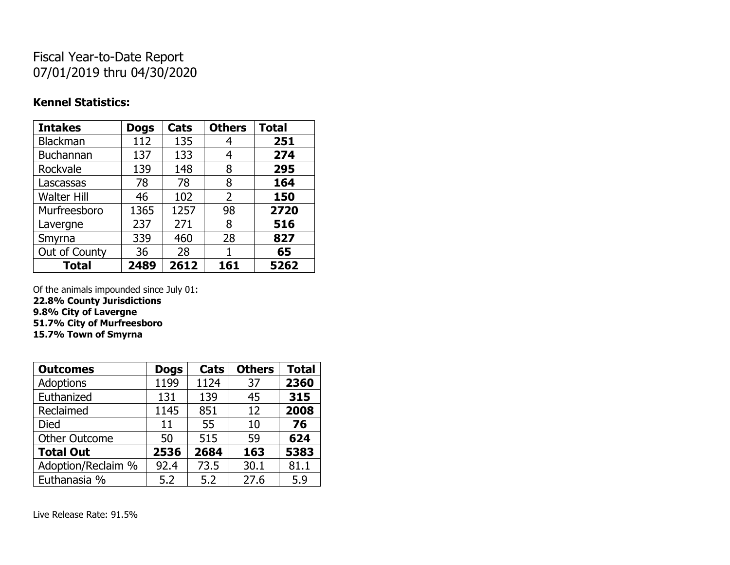# Fiscal Year-to-Date Report 07/01/2019 thru 04/30/2020

### **Kennel Statistics:**

| <b>Intakes</b>     | <b>Dogs</b> | Cats | <b>Others</b>  | <b>Total</b> |
|--------------------|-------------|------|----------------|--------------|
| Blackman           | 112         | 135  | 4              | 251          |
| <b>Buchannan</b>   | 137         | 133  | 4              | 274          |
| Rockvale           | 139         | 148  | 8              | 295          |
| Lascassas          | 78          | 78   | 8              | 164          |
| <b>Walter Hill</b> | 46          | 102  | $\overline{2}$ | 150          |
| Murfreesboro       | 1365        | 1257 | 98             | 2720         |
| Lavergne           | 237         | 271  | 8              | 516          |
| Smyrna             | 339         | 460  | 28             | 827          |
| Out of County      | 36          | 28   |                | 65           |
| <b>Total</b>       | 2489        | 2612 | 161            | 5262         |

Of the animals impounded since July 01:

**22.8% County Jurisdictions 9.8% City of Lavergne 51.7% City of Murfreesboro**

**15.7% Town of Smyrna**

| <b>Outcomes</b>      | <b>Dogs</b> | Cats | <b>Others</b> | <b>Total</b> |
|----------------------|-------------|------|---------------|--------------|
| <b>Adoptions</b>     | 1199        | 1124 | 37            | 2360         |
| Euthanized           | 131         | 139  | 45            | 315          |
| Reclaimed            | 1145        | 851  | 12            | 2008         |
| Died                 | 11          | 55   | 10            | 76           |
| <b>Other Outcome</b> | 50          | 515  | 59            | 624          |
| <b>Total Out</b>     | 2536        | 2684 | 163           | 5383         |
| Adoption/Reclaim %   | 92.4        | 73.5 | 30.1          | 81.1         |
| Euthanasia %         | 5.2         | 5.2  | 27.6          | 5.9          |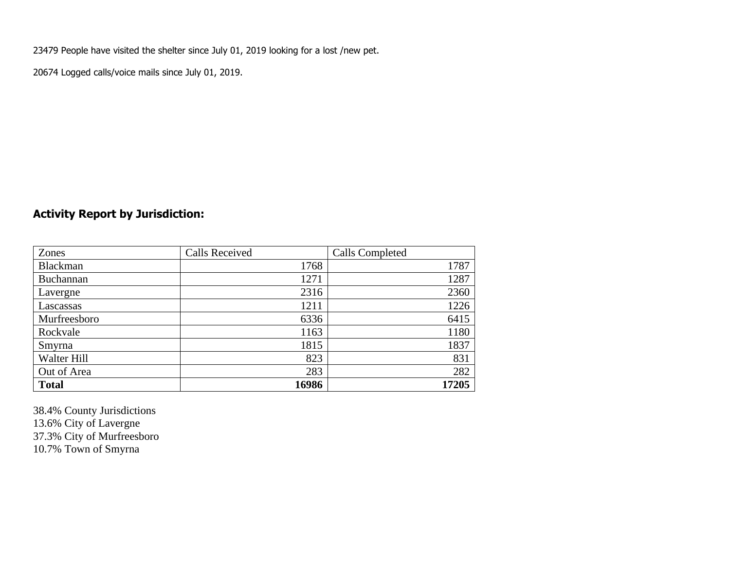23479 People have visited the shelter since July 01, 2019 looking for a lost /new pet.

20674 Logged calls/voice mails since July 01, 2019.

## **Activity Report by Jurisdiction:**

| Zones           | <b>Calls Received</b> | Calls Completed |
|-----------------|-----------------------|-----------------|
| <b>Blackman</b> | 1768                  | 1787            |
| Buchannan       | 1271                  | 1287            |
| Lavergne        | 2316                  | 2360            |
| Lascassas       | 1211                  | 1226            |
| Murfreesboro    | 6336                  | 6415            |
| Rockvale        | 1163                  | 1180            |
| Smyrna          | 1815                  | 1837            |
| Walter Hill     | 823                   | 831             |
| Out of Area     | 283                   | 282             |
| <b>Total</b>    | 16986                 | 17205           |

38.4% County Jurisdictions 13.6% City of Lavergne 37.3% City of Murfreesboro 10.7% Town of Smyrna